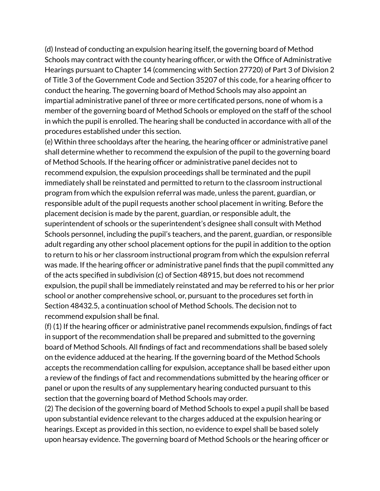(d) Instead of conducting an expulsion hearing itself, the governing board of Method Schools may contract with the county hearing officer, or with the Office of Administrative Hearings pursuant to Chapter 14 (commencing with Section 27720) of Part 3 of Division 2 of Title 3 of the Government Code and Section 35207 of this code, for a hearing officer to conduct the hearing. The governing board of Method Schools may also appoint an impartial administrative panel of three or more certificated persons, none of whom is a member of the governing board of Method Schools or employed on the staff of the school in which the pupil is enrolled. The hearing shall be conducted in accordance with all of the procedures established under this section.

(e) Within three schooldays after the hearing, the hearing officer or administrative panel shall determine whether to recommend the expulsion of the pupil to the governing board of Method Schools. If the hearing officer or administrative panel decides not to recommend expulsion, the expulsion proceedings shall be terminated and the pupil immediately shall be reinstated and permitted to return to the classroom instructional program from which the expulsion referral was made, unless the parent, guardian, or responsible adult of the pupil requests another school placement in writing. Before the placement decision is made by the parent, guardian, or responsible adult, the superintendent of schools or the superintendent's designee shall consult with Method Schools personnel, including the pupil's teachers, and the parent, guardian, or responsible adult regarding any other school placement options for the pupil in addition to the option to return to his or her classroom instructional program from which the expulsion referral was made. If the hearing officer or administrative panel finds that the pupil committed any of the acts specified in subdivision (c) of Section 48915, but does not recommend expulsion, the pupil shall be immediately reinstated and may be referred to his or her prior school or another comprehensive school, or, pursuant to the procedures set forth in Section 48432.5, a continuation school of Method Schools. The decision not to recommend expulsion shall be final.

(f) (1) If the hearing officer or administrative panel recommends expulsion, findings of fact in support of the recommendation shall be prepared and submitted to the governing board of Method Schools. All findings of fact and recommendations shall be based solely on the evidence adduced at the hearing. If the governing board of the Method Schools accepts the recommendation calling for expulsion, acceptance shall be based either upon a review of the findings of fact and recommendations submitted by the hearing officer or panel or upon the results of any supplementary hearing conducted pursuant to this section that the governing board of Method Schools may order.

(2) The decision of the governing board of Method Schools to expel a pupil shall be based upon substantial evidence relevant to the charges adduced at the expulsion hearing or hearings. Except as provided in this section, no evidence to expel shall be based solely upon hearsay evidence. The governing board of Method Schools or the hearing officer or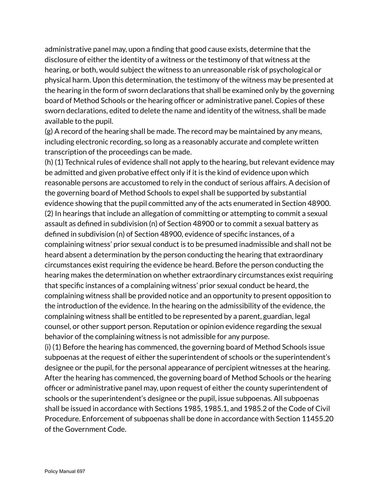administrative panel may, upon a finding that good cause exists, determine that the disclosure of either the identity of a witness or the testimony of that witness at the hearing, or both, would subject the witness to an unreasonable risk of psychological or physical harm. Upon this determination, the testimony of the witness may be presented at the hearing in the form of sworn declarations that shall be examined only by the governing board of Method Schools or the hearing officer or administrative panel. Copies of these sworn declarations, edited to delete the name and identity of the witness, shall be made available to the pupil.

(g) A record of the hearing shall be made. The record may be maintained by any means, including electronic recording, so long as a reasonably accurate and complete written transcription of the proceedings can be made.

(h) (1) Technical rules of evidence shall not apply to the hearing, but relevant evidence may be admitted and given probative effect only if it is the kind of evidence upon which reasonable persons are accustomed to rely in the conduct of serious affairs. A decision of the governing board of Method Schools to expel shall be supported by substantial evidence showing that the pupil committed any of the acts enumerated in Section 48900. (2) In hearings that include an allegation of committing or attempting to commit a sexual assault as defined in subdivision (n) of Section 48900 or to commit a sexual battery as defined in subdivision (n) of Section 48900, evidence of specific instances, of a complaining witness' prior sexual conduct is to be presumed inadmissible and shall not be heard absent a determination by the person conducting the hearing that extraordinary circumstances exist requiring the evidence be heard. Before the person conducting the hearing makes the determination on whether extraordinary circumstances exist requiring that specific instances of a complaining witness' prior sexual conduct be heard, the complaining witness shall be provided notice and an opportunity to present opposition to the introduction of the evidence. In the hearing on the admissibility of the evidence, the complaining witness shall be entitled to be represented by a parent, guardian, legal counsel, or other support person. Reputation or opinion evidence regarding the sexual behavior of the complaining witness is not admissible for any purpose.

(i) (1) Before the hearing has commenced, the governing board of Method Schools issue subpoenas at the request of either the superintendent of schools or the superintendent's designee or the pupil, for the personal appearance of percipient witnesses at the hearing. After the hearing has commenced, the governing board of Method Schools or the hearing officer or administrative panel may, upon request of either the county superintendent of schools or the superintendent's designee or the pupil, issue subpoenas. All subpoenas shall be issued in accordance with Sections 1985, 1985.1, and 1985.2 of the Code of Civil Procedure. Enforcement of subpoenas shall be done in accordance with Section 11455.20 of the Government Code.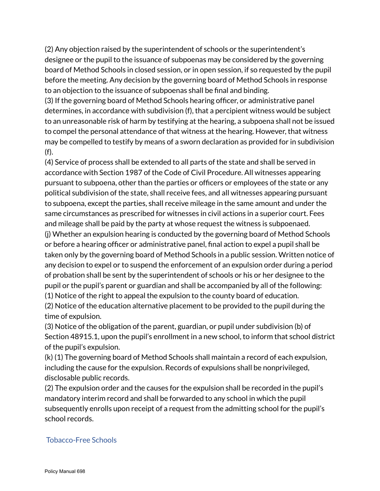(2) Any objection raised by the superintendent of schools or the superintendent's designee or the pupil to the issuance of subpoenas may be considered by the governing board of Method Schools in closed session, or in open session, if so requested by the pupil before the meeting. Any decision by the governing board of Method Schools in response to an objection to the issuance of subpoenas shall be final and binding.

(3) If the governing board of Method Schools hearing officer, or administrative panel determines, in accordance with subdivision (f), that a percipient witness would be subject to an unreasonable risk of harm by testifying at the hearing, a subpoena shall not be issued to compel the personal attendance of that witness at the hearing. However, that witness may be compelled to testify by means of a sworn declaration as provided for in subdivision (f).

(4) Service of process shall be extended to all parts of the state and shall be served in accordance with Section 1987 of the Code of Civil Procedure. All witnesses appearing pursuant to subpoena, other than the parties or officers or employees of the state or any political subdivision of the state, shall receive fees, and all witnesses appearing pursuant to subpoena, except the parties, shall receive mileage in the same amount and under the same circumstances as prescribed for witnesses in civil actions in a superior court. Fees and mileage shall be paid by the party at whose request the witness is subpoenaed.

(j) Whether an expulsion hearing is conducted by the governing board of Method Schools or before a hearing officer or administrative panel, final action to expel a pupil shall be taken only by the governing board of Method Schools in a public session. Written notice of any decision to expel or to suspend the enforcement of an expulsion order during a period of probation shall be sent by the superintendent of schools or his or her designee to the pupil or the pupil's parent or guardian and shall be accompanied by all of the following:

(1) Notice of the right to appeal the expulsion to the county board of education.

(2) Notice of the education alternative placement to be provided to the pupil during the time of expulsion.

(3) Notice of the obligation of the parent, guardian, or pupil under subdivision (b) of Section 48915.1, upon the pupil's enrollment in a new school, to inform that school district of the pupil's expulsion.

(k) (1) The governing board of Method Schools shall maintain a record of each expulsion, including the cause for the expulsion. Records of expulsions shall be nonprivileged, disclosable public records.

(2) The expulsion order and the causes for the expulsion shall be recorded in the pupil's mandatory interim record and shall be forwarded to any school in which the pupil subsequently enrolls upon receipt of a request from the admitting school for the pupil's school records.

## Tobacco-Free Schools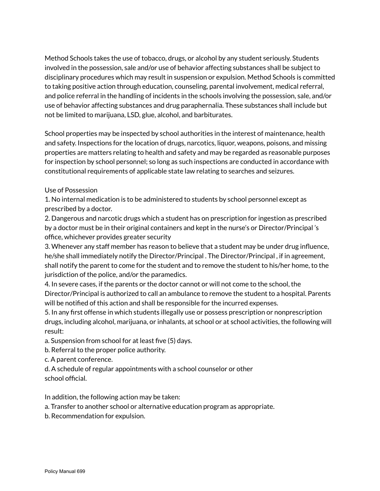Method Schools takes the use of tobacco, drugs, or alcohol by any student seriously. Students involved in the possession, sale and/or use of behavior affecting substances shall be subject to disciplinary procedures which may result in suspension or expulsion. Method Schools is committed to taking positive action through education, counseling, parental involvement, medical referral, and police referral in the handling of incidents in the schools involving the possession, sale, and/or use of behavior affecting substances and drug paraphernalia. These substances shall include but not be limited to marijuana, LSD, glue, alcohol, and barbiturates.

School properties may be inspected by school authorities in the interest of maintenance, health and safety. Inspections for the location of drugs, narcotics, liquor, weapons, poisons, and missing properties are matters relating to health and safety and may be regarded as reasonable purposes for inspection by school personnel; so long as such inspections are conducted in accordance with constitutional requirements of applicable state law relating to searches and seizures.

## Use of Possession

1. No internal medication is to be administered to students by school personnel except as prescribed by a doctor.

2. Dangerous and narcotic drugs which a student has on prescription for ingestion as prescribed by a doctor must be in their original containers and kept in the nurse's or Director/Principal 's office, whichever provides greater security

3. Whenever any staff member has reason to believe that a student may be under drug influence, he/she shall immediately notify the Director/Principal . The Director/Principal , if in agreement, shall notify the parent to come for the student and to remove the student to his/her home, to the jurisdiction of the police, and/or the paramedics.

4. In severe cases, if the parents or the doctor cannot or will not come to the school, the Director/Principal is authorized to call an ambulance to remove the student to a hospital. Parents will be notified of this action and shall be responsible for the incurred expenses.

5. In any first offense in which students illegally use or possess prescription or nonprescription drugs, including alcohol, marijuana, or inhalants, at school or at school activities, the following will result:

a. Suspension from school for at least five (5) days.

b. Referral to the proper police authority.

c. A parent conference.

d. A schedule of regular appointments with a school counselor or other school official.

In addition, the following action may be taken:

- a. Transfer to another school or alternative education program as appropriate.
- b. Recommendation for expulsion.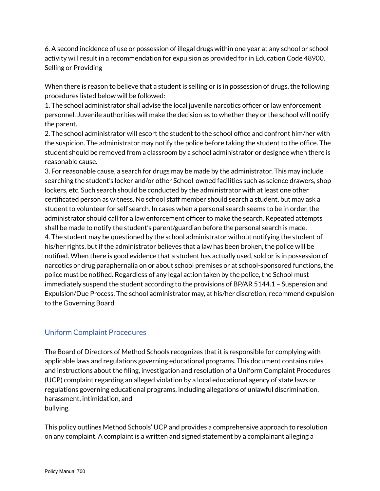6. A second incidence of use or possession of illegal drugs within one year at any school or school activity will result in a recommendation for expulsion as provided for in Education Code 48900. Selling or Providing

When there is reason to believe that a student is selling or is in possession of drugs, the following procedures listed below will be followed:

1. The school administrator shall advise the local juvenile narcotics officer or law enforcement personnel. Juvenile authorities will make the decision as to whether they or the school will notify the parent.

2. The school administrator will escort the student to the school office and confront him/her with the suspicion. The administrator may notify the police before taking the student to the office. The student should be removed from a classroom by a school administrator or designee when there is reasonable cause.

3. For reasonable cause, a search for drugs may be made by the administrator. This may include searching the student's locker and/or other School-owned facilities such as science drawers, shop lockers, etc. Such search should be conducted by the administrator with at least one other certificated person as witness. No school staff member should search a student, but may ask a student to volunteer for self search. In cases when a personal search seems to be in order, the administrator should call for a law enforcement officer to make the search. Repeated attempts shall be made to notify the student's parent/guardian before the personal search is made. 4. The student may be questioned by the school administrator without notifying the student of his/her rights, but if the administrator believes that a law has been broken, the police will be notified. When there is good evidence that a student has actually used, sold or is in possession of narcotics or drug paraphernalia on or about school premises or at school-sponsored functions, the police must be notified. Regardless of any legal action taken by the police, the School must immediately suspend the student according to the provisions of BP/AR 5144.1 – Suspension and Expulsion/Due Process. The school administrator may, at his/her discretion, recommend expulsion to the Governing Board.

## Uniform Complaint Procedures

The Board of Directors of Method Schools recognizes that it is responsible for complying with applicable laws and regulations governing educational programs. This document contains rules and instructions about the filing, investigation and resolution of a Uniform Complaint Procedures (UCP) complaint regarding an alleged violation by a local educational agency of state laws or regulations governing educational programs, including allegations of unlawful discrimination, harassment, intimidation, and bullying.

This policy outlines Method Schools' UCP and provides a comprehensive approach to resolution on any complaint. A complaint is a written and signed statement by a complainant alleging a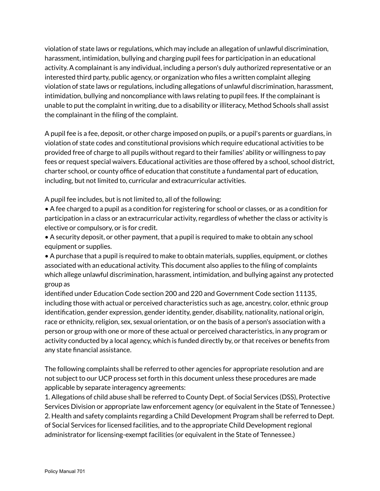violation of state laws or regulations, which may include an allegation of unlawful discrimination, harassment, intimidation, bullying and charging pupil fees for participation in an educational activity. A complainant is any individual, including a person's duly authorized representative or an interested third party, public agency, or organization who files a written complaint alleging violation of state laws or regulations, including allegations of unlawful discrimination, harassment, intimidation, bullying and noncompliance with laws relating to pupil fees. If the complainant is unable to put the complaint in writing, due to a disability or illiteracy, Method Schools shall assist the complainant in the filing of the complaint.

A pupil fee is a fee, deposit, or other charge imposed on pupils, or a pupil's parents or guardians, in violation of state codes and constitutional provisions which require educational activities to be provided free of charge to all pupils without regard to their families' ability or willingness to pay fees or request special waivers. Educational activities are those offered by a school, school district, charter school, or county office of education that constitute a fundamental part of education, including, but not limited to, curricular and extracurricular activities.

A pupil fee includes, but is not limited to, all of the following:

• A fee charged to a pupil as a condition for registering for school or classes, or as a condition for participation in a class or an extracurricular activity, regardless of whether the class or activity is elective or compulsory, or is for credit.

• A security deposit, or other payment, that a pupil is required to make to obtain any school equipment or supplies.

• A purchase that a pupil is required to make to obtain materials, supplies, equipment, or clothes associated with an educational activity. This document also applies to the filing of complaints which allege unlawful discrimination, harassment, intimidation, and bullying against any protected group as

identified under Education Code section 200 and 220 and Government Code section 11135, including those with actual or perceived characteristics such as age, ancestry, color, ethnic group identification, gender expression, gender identity, gender, disability, nationality, national origin, race or ethnicity, religion, sex, sexual orientation, or on the basis of a person's association with a person or group with one or more of these actual or perceived characteristics, in any program or activity conducted by a local agency, which is funded directly by, or that receives or benefits from any state financial assistance.

The following complaints shall be referred to other agencies for appropriate resolution and are not subject to our UCP process set forth in this document unless these procedures are made applicable by separate interagency agreements:

1. Allegations of child abuse shall be referred to County Dept. of Social Services (DSS), Protective Services Division or appropriate law enforcement agency (or equivalent in the State of Tennessee.) 2. Health and safety complaints regarding a Child Development Program shall be referred to Dept. of Social Services for licensed facilities, and to the appropriate Child Development regional administrator for licensing-exempt facilities (or equivalent in the State of Tennessee.)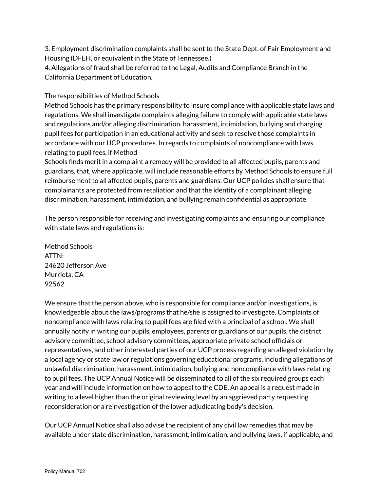3. Employment discrimination complaints shall be sent to the State Dept. of Fair Employment and Housing (DFEH, or equivalent in the State of Tennessee.)

4. Allegations of fraud shall be referred to the Legal, Audits and Compliance Branch in the California Department of Education.

The responsibilities of Method Schools

Method Schools has the primary responsibility to insure compliance with applicable state laws and regulations. We shall investigate complaints alleging failure to comply with applicable state laws and regulations and/or alleging discrimination, harassment, intimidation, bullying and charging pupil fees for participation in an educational activity and seek to resolve those complaints in accordance with our UCP procedures. In regards to complaints of noncompliance with laws relating to pupil fees, if Method

Schools finds merit in a complaint a remedy will be provided to all affected pupils, parents and guardians, that, where applicable, will include reasonable efforts by Method Schools to ensure full reimbursement to all affected pupils, parents and guardians. Our UCP policies shall ensure that complainants are protected from retaliation and that the identity of a complainant alleging discrimination, harassment, intimidation, and bullying remain confidential as appropriate.

The person responsible for receiving and investigating complaints and ensuring our compliance with state laws and regulations is:

Method Schools ATTN: 24620 Jefferson Ave Murrieta, CA 92562

We ensure that the person above, who is responsible for compliance and/or investigations, is knowledgeable about the laws/programs that he/she is assigned to investigate. Complaints of noncompliance with laws relating to pupil fees are filed with a principal of a school. We shall annually notify in writing our pupils, employees, parents or guardians of our pupils, the district advisory committee, school advisory committees, appropriate private school officials or representatives, and other interested parties of our UCP process regarding an alleged violation by a local agency or state law or regulations governing educational programs, including allegations of unlawful discrimination, harassment, intimidation, bullying and noncompliance with laws relating to pupil fees. The UCP Annual Notice will be disseminated to all of the six required groups each year and will include information on how to appeal to the CDE. An appeal is a request made in writing to a level higher than the original reviewing level by an aggrieved party requesting reconsideration or a reinvestigation of the lower adjudicating body's decision.

Our UCP Annual Notice shall also advise the recipient of any civil law remedies that may be available under state discrimination, harassment, intimidation, and bullying laws, if applicable, and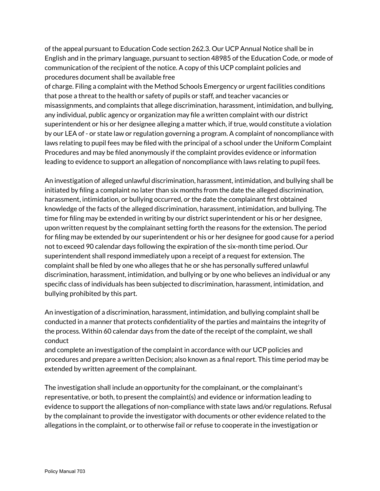of the appeal pursuant to Education Code section 262.3. Our UCP Annual Notice shall be in English and in the primary language, pursuant to section 48985 of the Education Code, or mode of communication of the recipient of the notice. A copy of this UCP complaint policies and procedures document shall be available free

of charge. Filing a complaint with the Method Schools Emergency or urgent facilities conditions that pose a threat to the health or safety of pupils or staff, and teacher vacancies or misassignments, and complaints that allege discrimination, harassment, intimidation, and bullying, any individual, public agency or organization may file a written complaint with our district superintendent or his or her designee alleging a matter which, if true, would constitute a violation by our LEA of - or state law or regulation governing a program. A complaint of noncompliance with laws relating to pupil fees may be filed with the principal of a school under the Uniform Complaint Procedures and may be filed anonymously if the complaint provides evidence or information leading to evidence to support an allegation of noncompliance with laws relating to pupil fees.

An investigation of alleged unlawful discrimination, harassment, intimidation, and bullying shall be initiated by filing a complaint no later than six months from the date the alleged discrimination, harassment, intimidation, or bullying occurred, or the date the complainant first obtained knowledge of the facts of the alleged discrimination, harassment, intimidation, and bullying. The time for filing may be extended in writing by our district superintendent or his or her designee, upon written request by the complainant setting forth the reasons for the extension. The period for filing may be extended by our superintendent or his or her designee for good cause for a period not to exceed 90 calendar days following the expiration of the six-month time period. Our superintendent shall respond immediately upon a receipt of a request for extension. The complaint shall be filed by one who alleges that he or she has personally suffered unlawful discrimination, harassment, intimidation, and bullying or by one who believes an individual or any specific class of individuals has been subjected to discrimination, harassment, intimidation, and bullying prohibited by this part.

An investigation of a discrimination, harassment, intimidation, and bullying complaint shall be conducted in a manner that protects confidentiality of the parties and maintains the integrity of the process. Within 60 calendar days from the date of the receipt of the complaint, we shall conduct

and complete an investigation of the complaint in accordance with our UCP policies and procedures and prepare a written Decision; also known as a final report. This time period may be extended by written agreement of the complainant.

The investigation shall include an opportunity for the complainant, or the complainant's representative, or both, to present the complaint(s) and evidence or information leading to evidence to support the allegations of non-compliance with state laws and/or regulations. Refusal by the complainant to provide the investigator with documents or other evidence related to the allegations in the complaint, or to otherwise fail or refuse to cooperate in the investigation or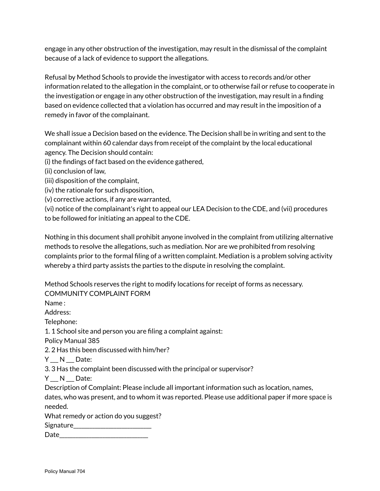engage in any other obstruction of the investigation, may result in the dismissal of the complaint because of a lack of evidence to support the allegations.

Refusal by Method Schools to provide the investigator with access to records and/or other information related to the allegation in the complaint, or to otherwise fail or refuse to cooperate in the investigation or engage in any other obstruction of the investigation, may result in a finding based on evidence collected that a violation has occurred and may result in the imposition of a remedy in favor of the complainant.

We shall issue a Decision based on the evidence. The Decision shall be in writing and sent to the complainant within 60 calendar days from receipt of the complaint by the local educational agency. The Decision should contain:

(i) the findings of fact based on the evidence gathered,

(ii) conclusion of law,

- (iii) disposition of the complaint,
- (iv) the rationale for such disposition,

(v) corrective actions, if any are warranted,

(vi) notice of the complainant's right to appeal our LEA Decision to the CDE, and (vii) procedures to be followed for initiating an appeal to the CDE.

Nothing in this document shall prohibit anyone involved in the complaint from utilizing alternative methods to resolve the allegations, such as mediation. Nor are we prohibited from resolving complaints prior to the formal filing of a written complaint. Mediation is a problem solving activity whereby a third party assists the parties to the dispute in resolving the complaint.

Method Schools reserves the right to modify locations for receipt of forms as necessary. COMMUNITY COMPLAINT FORM

Name :

Address:

Telephone:

1. 1 School site and person you are filing a complaint against:

Policy Manual 385

2. 2 Has this been discussed with him/her?

Y N Date:

3. 3 Has the complaint been discussed with the principal or supervisor?

 $Y_N N_N$  Date:

Description of Complaint: Please include all important information such as location, names,

dates, who was present, and to whom it was reported. Please use additional paper if more space is needed.

What remedy or action do you suggest?

Signature\_\_\_\_\_\_\_\_\_\_\_\_\_\_\_\_\_\_\_\_\_\_\_\_\_\_\_\_\_

 $Date$